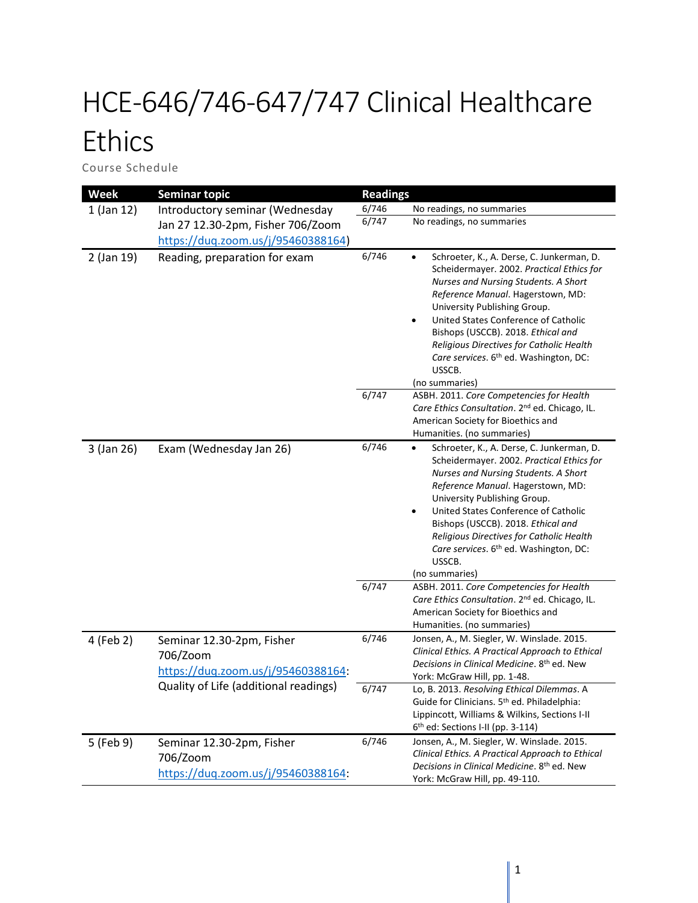## HCE-646/746-647/747 Clinical Healthcare **Ethics**

Course Schedule

| <b>Week</b> | <b>Seminar topic</b>                                                        | <b>Readings</b> |                                                                                                                                                                                                                                                                                                                                                                                                                                   |
|-------------|-----------------------------------------------------------------------------|-----------------|-----------------------------------------------------------------------------------------------------------------------------------------------------------------------------------------------------------------------------------------------------------------------------------------------------------------------------------------------------------------------------------------------------------------------------------|
| 1 (Jan 12)  | Introductory seminar (Wednesday                                             | 6/746           | No readings, no summaries                                                                                                                                                                                                                                                                                                                                                                                                         |
|             | Jan 27 12.30-2pm, Fisher 706/Zoom                                           | 6/747           | No readings, no summaries                                                                                                                                                                                                                                                                                                                                                                                                         |
|             | https://duq.zoom.us/j/95460388164)                                          |                 |                                                                                                                                                                                                                                                                                                                                                                                                                                   |
| 2 (Jan 19)  | Reading, preparation for exam                                               | 6/746           | Schroeter, K., A. Derse, C. Junkerman, D.<br>$\bullet$<br>Scheidermayer. 2002. Practical Ethics for<br>Nurses and Nursing Students. A Short<br>Reference Manual. Hagerstown, MD:<br>University Publishing Group.<br>United States Conference of Catholic<br>٠<br>Bishops (USCCB). 2018. Ethical and<br>Religious Directives for Catholic Health<br>Care services. 6 <sup>th</sup> ed. Washington, DC:<br>USSCB.<br>(no summaries) |
|             |                                                                             | 6/747           | ASBH. 2011. Core Competencies for Health<br>Care Ethics Consultation. 2 <sup>nd</sup> ed. Chicago, IL.<br>American Society for Bioethics and                                                                                                                                                                                                                                                                                      |
|             |                                                                             |                 | Humanities. (no summaries)                                                                                                                                                                                                                                                                                                                                                                                                        |
| 3 (Jan 26)  | Exam (Wednesday Jan 26)                                                     | 6/746           | Schroeter, K., A. Derse, C. Junkerman, D.<br>$\bullet$<br>Scheidermayer. 2002. Practical Ethics for<br>Nurses and Nursing Students. A Short<br>Reference Manual. Hagerstown, MD:<br>University Publishing Group.<br>United States Conference of Catholic<br>٠<br>Bishops (USCCB). 2018. Ethical and<br>Religious Directives for Catholic Health<br>Care services. 6th ed. Washington, DC:<br>USSCB.<br>(no summaries)             |
|             |                                                                             | 6/747           | ASBH. 2011. Core Competencies for Health<br>Care Ethics Consultation. 2 <sup>nd</sup> ed. Chicago, IL.<br>American Society for Bioethics and<br>Humanities. (no summaries)                                                                                                                                                                                                                                                        |
| 4 (Feb 2)   | Seminar 12.30-2pm, Fisher<br>706/Zoom<br>https://duq.zoom.us/j/95460388164: | 6/746           | Jonsen, A., M. Siegler, W. Winslade. 2015.<br>Clinical Ethics. A Practical Approach to Ethical<br>Decisions in Clinical Medicine. 8th ed. New<br>York: McGraw Hill, pp. 1-48.                                                                                                                                                                                                                                                     |
|             | Quality of Life (additional readings)                                       | 6/747           | Lo, B. 2013. Resolving Ethical Dilemmas. A<br>Guide for Clinicians. 5 <sup>th</sup> ed. Philadelphia:<br>Lippincott, Williams & Wilkins, Sections I-II<br>6th ed: Sections I-II (pp. 3-114)                                                                                                                                                                                                                                       |
| 5 (Feb 9)   | Seminar 12.30-2pm, Fisher<br>706/Zoom<br>https://duq.zoom.us/j/95460388164: | 6/746           | Jonsen, A., M. Siegler, W. Winslade. 2015.<br>Clinical Ethics. A Practical Approach to Ethical<br>Decisions in Clinical Medicine. 8th ed. New<br>York: McGraw Hill, pp. 49-110.                                                                                                                                                                                                                                                   |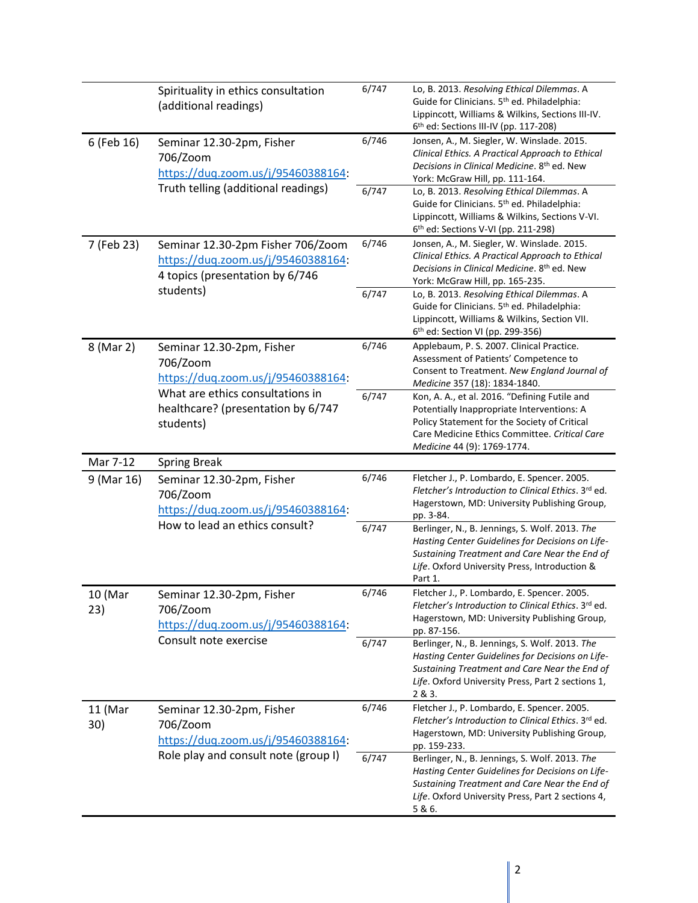|                | Spirituality in ethics consultation<br>(additional readings)                                                        | 6/747          | Lo, B. 2013. Resolving Ethical Dilemmas. A<br>Guide for Clinicians. 5th ed. Philadelphia:<br>Lippincott, Williams & Wilkins, Sections III-IV.<br>6th ed: Sections III-IV (pp. 117-208)                                      |
|----------------|---------------------------------------------------------------------------------------------------------------------|----------------|-----------------------------------------------------------------------------------------------------------------------------------------------------------------------------------------------------------------------------|
| 6 (Feb 16)     | Seminar 12.30-2pm, Fisher<br>706/Zoom<br>https://duq.zoom.us/j/95460388164:                                         | 6/746          | Jonsen, A., M. Siegler, W. Winslade. 2015.<br>Clinical Ethics. A Practical Approach to Ethical<br>Decisions in Clinical Medicine, 8 <sup>th</sup> ed. New<br>York: McGraw Hill, pp. 111-164.                                |
|                | Truth telling (additional readings)                                                                                 | 6/747          | Lo, B. 2013. Resolving Ethical Dilemmas. A<br>Guide for Clinicians. 5 <sup>th</sup> ed. Philadelphia:<br>Lippincott, Williams & Wilkins, Sections V-VI.<br>6 <sup>th</sup> ed: Sections V-VI (pp. 211-298)                  |
| 7 (Feb 23)     | Seminar 12.30-2pm Fisher 706/Zoom<br>https://duq.zoom.us/j/95460388164:<br>4 topics (presentation by 6/746          | 6/746          | Jonsen, A., M. Siegler, W. Winslade. 2015.<br>Clinical Ethics. A Practical Approach to Ethical<br>Decisions in Clinical Medicine. 8th ed. New<br>York: McGraw Hill, pp. 165-235.                                            |
|                | students)                                                                                                           | 6/747          | Lo, B. 2013. Resolving Ethical Dilemmas. A<br>Guide for Clinicians. 5 <sup>th</sup> ed. Philadelphia:<br>Lippincott, Williams & Wilkins, Section VII.<br>6 <sup>th</sup> ed: Section VI (pp. 299-356)                       |
| 8 (Mar 2)      | Seminar 12.30-2pm, Fisher<br>706/Zoom<br>https://duq.zoom.us/j/95460388164:                                         | 6/746          | Applebaum, P. S. 2007. Clinical Practice.<br>Assessment of Patients' Competence to<br>Consent to Treatment. New England Journal of<br>Medicine 357 (18): 1834-1840.                                                         |
|                | What are ethics consultations in<br>healthcare? (presentation by 6/747<br>students)                                 | 6/747          | Kon, A. A., et al. 2016. "Defining Futile and<br>Potentially Inappropriate Interventions: A<br>Policy Statement for the Society of Critical<br>Care Medicine Ethics Committee. Critical Care<br>Medicine 44 (9): 1769-1774. |
|                |                                                                                                                     |                |                                                                                                                                                                                                                             |
| Mar 7-12       | <b>Spring Break</b>                                                                                                 |                |                                                                                                                                                                                                                             |
| 9 (Mar 16)     | Seminar 12.30-2pm, Fisher<br>706/Zoom<br>https://duq.zoom.us/j/95460388164:                                         | 6/746          | Fletcher J., P. Lombardo, E. Spencer. 2005.<br>Fletcher's Introduction to Clinical Ethics. 3rd ed.<br>Hagerstown, MD: University Publishing Group,<br>pp. 3-84.                                                             |
|                | How to lead an ethics consult?                                                                                      | 6/747          | Berlinger, N., B. Jennings, S. Wolf. 2013. The<br>Hasting Center Guidelines for Decisions on Life-<br>Sustaining Treatment and Care Near the End of<br>Life. Oxford University Press, Introduction &<br>Part 1.             |
| 10 (Mar<br>23) | Seminar 12.30-2pm, Fisher<br>706/Zoom<br>https://duq.zoom.us/j/95460388164:                                         | 6/746          | Fletcher J., P. Lombardo, E. Spencer. 2005.<br>Fletcher's Introduction to Clinical Ethics. 3rd ed.<br>Hagerstown, MD: University Publishing Group,<br>pp. 87-156.                                                           |
|                | Consult note exercise                                                                                               | 6/747          | Berlinger, N., B. Jennings, S. Wolf. 2013. The<br>Hasting Center Guidelines for Decisions on Life-<br>Sustaining Treatment and Care Near the End of<br>Life. Oxford University Press, Part 2 sections 1,<br>2 & 3.          |
| 11 (Mar<br>30) | Seminar 12.30-2pm, Fisher<br>706/Zoom<br>https://duq.zoom.us/j/95460388164:<br>Role play and consult note (group I) | 6/746<br>6/747 | Fletcher J., P. Lombardo, E. Spencer. 2005.<br>Fletcher's Introduction to Clinical Ethics. 3rd ed.<br>Hagerstown, MD: University Publishing Group,<br>pp. 159-233.<br>Berlinger, N., B. Jennings, S. Wolf. 2013. The        |